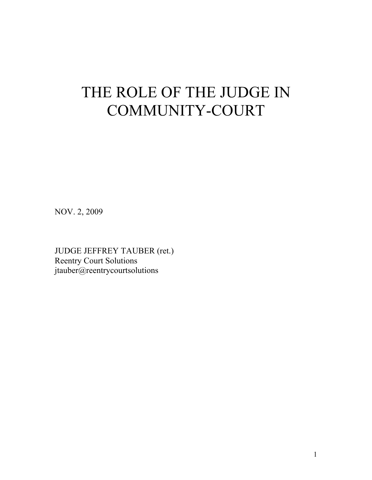# THE ROLE OF THE JUDGE IN COMMUNITY-COURT

NOV. 2, 2009

JUDGE JEFFREY TAUBER (ret.) Reentry Court Solutions jtauber@reentrycourtsolutions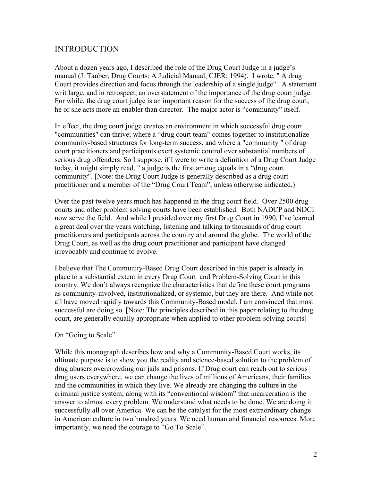# INTRODUCTION

About a dozen years ago, I described the role of the Drug Court Judge in a judge's manual (J. Tauber, Drug Courts: A Judicial Manual, CJER; 1994). I wrote, " A drug Court provides direction and focus through the leadership of a single judge". A statement writ large, and in retrospect, an overstatement of the importance of the drug court judge. For while, the drug court judge is an important reason for the success of the drug court, he or she acts more an enabler than director. The major actor is "community" itself.

In effect, the drug court judge creates an environment in which successful drug court "communities" can thrive; where a "drug court team" comes together to institutionalize community-based structures for long-term success, and where a "community " of drug court practitioners and participants exert systemic control over substantial numbers of serious drug offenders. So I suppose, if I were to write a definition of a Drug Court Judge today, it might simply read, " a judge is the first among equals in a "drug court community". [Note: the Drug Court Judge is generally described as a drug court practitioner and a member of the "Drug Court Team", unless otherwise indicated.)

Over the past twelve years much has happened in the drug court field. Over 2500 drug courts and other problem solving courts have been established. Both NADCP and NDCI now serve the field. And while I presided over my first Drug Court in 1990, I've learned a great deal over the years watching, listening and talking to thousands of drug court practitioners and participants across the country and around the globe. The world of the Drug Court, as well as the drug court practitioner and participant have changed irrevocably and continue to evolve.

I believe that The Community-Based Drug Court described in this paper is already in place to a substantial extent in every Drug Court and Problem-Solving Court in this country. We don't always recognize the characteristics that define these court programs as community-involved, institutionalized, or systemic, but they are there. And while not all have moved rapidly towards this Community-Based model, I am convinced that most successful are doing so. [Note: The principles described in this paper relating to the drug court, are generally equally appropriate when applied to other problem-solving courts]

#### On "Going to Scale"

While this monograph describes how and why a Community-Based Court works, its ultimate purpose is to show you the reality and science-based solution to the problem of drug abusers overcrowding our jails and prisons. If Drug court can reach out to serious drug users everywhere, we can change the lives of millions of Americans, their families and the communities in which they live. We already are changing the culture in the criminal justice system; along with its "conventional wisdom" that incarceration is the answer to almost every problem. We understand what needs to be done. We are doing it successfully all over America. We can be the catalyst for the most extraordinary change in American culture in two hundred years. We need human and financial resources. More importantly, we need the courage to "Go To Scale".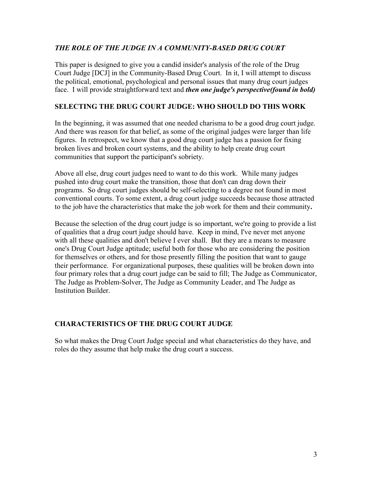# *THE ROLE OF THE JUDGE IN A COMMUNITY-BASED DRUG COURT*

This paper is designed to give you a candid insider's analysis of the role of the Drug Court Judge [DCJ] in the Community-Based Drug Court. In it, I will attempt to discuss the political, emotional, psychological and personal issues that many drug court judges face. I will provide straightforward text and *then one judge's perspective(found in bold)*

# **SELECTING THE DRUG COURT JUDGE: WHO SHOULD DO THIS WORK**

In the beginning, it was assumed that one needed charisma to be a good drug court judge. And there was reason for that belief, as some of the original judges were larger than life figures. In retrospect, we know that a good drug court judge has a passion for fixing broken lives and broken court systems, and the ability to help create drug court communities that support the participant's sobriety.

Above all else, drug court judges need to want to do this work. While many judges pushed into drug court make the transition, those that don't can drag down their programs. So drug court judges should be self-selecting to a degree not found in most conventional courts. To some extent, a drug court judge succeeds because those attracted to the job have the characteristics that make the job work for them and their community**.** 

Because the selection of the drug court judge is so important, we're going to provide a list of qualities that a drug court judge should have. Keep in mind, I've never met anyone with all these qualities and don't believe I ever shall. But they are a means to measure one's Drug Court Judge aptitude; useful both for those who are considering the position for themselves or others, and for those presently filling the position that want to gauge their performance. For organizational purposes, these qualities will be broken down into four primary roles that a drug court judge can be said to fill; The Judge as Communicator, The Judge as Problem-Solver, The Judge as Community Leader, and The Judge as Institution Builder.

# **CHARACTERISTICS OF THE DRUG COURT JUDGE**

So what makes the Drug Court Judge special and what characteristics do they have, and roles do they assume that help make the drug court a success.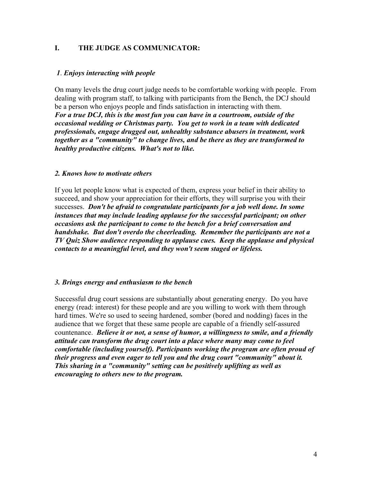# **I. THE JUDGE AS COMMUNICATOR:**

## *1*. *Enjoys interacting with people*

On many levels the drug court judge needs to be comfortable working with people. From dealing with program staff, to talking with participants from the Bench, the DCJ should be a person who enjoys people and finds satisfaction in interacting with them. *For a true DCJ, this is the most fun you can have in a courtroom, outside of the occasional wedding or Christmas party. You get to work in a team with dedicated professionals, engage drugged out, unhealthy substance abusers in treatment, work together as a "community" to change lives, and be there as they are transformed to healthy productive citizens. What's not to like.*

#### *2. Knows how to motivate others*

If you let people know what is expected of them, express your belief in their ability to succeed, and show your appreciation for their efforts, they will surprise you with their successes. *Don't be afraid to congratulate participants for a job well done. In some instances that may include leading applause for the successful participant; on other occasions ask the participant to come to the bench for a brief conversation and handshake. But don't overdo the cheerleading. Remember the participants are not a TV Quiz Show audience responding to applause cues. Keep the applause and physical contacts to a meaningful level, and they won't seem staged or lifeless.*

#### *3. Brings energy and enthusiasm to the bench*

Successful drug court sessions are substantially about generating energy. Do you have energy (read: interest) for these people and are you willing to work with them through hard times. We're so used to seeing hardened, somber (bored and nodding) faces in the audience that we forget that these same people are capable of a friendly self-assured countenance. *Believe it or not, a sense of humor, a willingness to smile, and a friendly attitude can transform the drug court into a place where many may come to feel comfortable (including yourself). Participants working the program are often proud of their progress and even eager to tell you and the drug court "community" about it. This sharing in a "community" setting can be positively uplifting as well as encouraging to others new to the program.*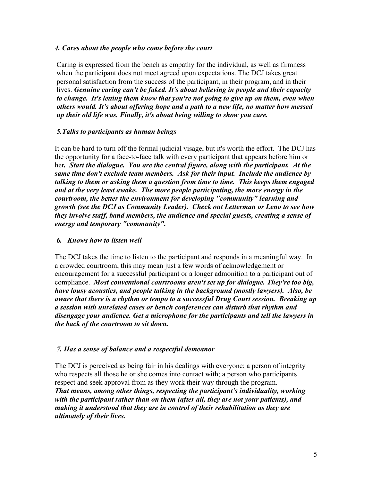## *4. Cares about the people who come before the court*

Caring is expressed from the bench as empathy for the individual, as well as firmness when the participant does not meet agreed upon expectations. The DCJ takes great personal satisfaction from the success of the participant, in their program, and in their lives. *Genuine caring can't be faked. It's about believing in people and their capacity to change. It's letting them know that you're not going to give up on them, even when others would. It's about offering hope and a path to a new life, no matter how messed up their old life was. Finally, it's about being willing to show you care.*

# *5.Talks to participants as human beings*

It can be hard to turn off the formal judicial visage, but it's worth the effort. The DCJ has the opportunity for a face-to-face talk with every participant that appears before him or her*. Start the dialogue. You are the central figure, along with the participant. At the same time don't exclude team members. Ask for their input. Include the audience by talking to them or asking them a question from time to time. This keeps them engaged and at the very least awake. The more people participating, the more energy in the courtroom, the better the environment for developing "community" learning and growth (see the DCJ as Community Leader). Check out Letterman or Leno to see how they involve staff, band members, the audience and special guests, creating a sense of energy and temporary "community".*

# *6. Knows how to listen well*

The DCJ takes the time to listen to the participant and responds in a meaningful way. In a crowded courtroom, this may mean just a few words of acknowledgement or encouragement for a successful participant or a longer admonition to a participant out of compliance. *Most conventional courtrooms aren't set up for dialogue. They're too big, have lousy acoustics, and people talking in the background (mostly lawyers). Also, be aware that there is a rhythm or tempo to a successful Drug Court session. Breaking up a session with unrelated cases or bench conferences can disturb that rhythm and disengage your audience. Get a microphone for the participants and tell the lawyers in the back of the courtroom to sit down.*

# *7. Has a sense of balance and a respectful demeanor*

The DCJ is perceived as being fair in his dealings with everyone; a person of integrity who respects all those he or she comes into contact with; a person who participants respect and seek approval from as they work their way through the program. *That means, among other things, respecting the participant's individuality, working with the participant rather than on them (after all, they are not your patients), and making it understood that they are in control of their rehabilitation as they are ultimately of their lives.*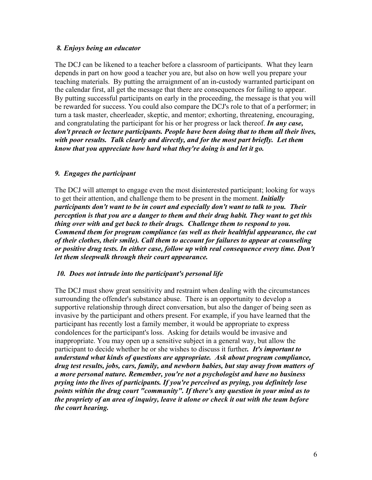# *8. Enjoys being an educator*

The DCJ can be likened to a teacher before a classroom of participants. What they learn depends in part on how good a teacher you are, but also on how well you prepare your teaching materials. By putting the arraignment of an in-custody warranted participant on the calendar first, all get the message that there are consequences for failing to appear. By putting successful participants on early in the proceeding, the message is that you will be rewarded for success. You could also compare the DCJ's role to that of a performer; in turn a task master, cheerleader, skeptic, and mentor; exhorting, threatening, encouraging, and congratulating the participant for his or her progress or lack thereof. *In any case, don't preach or lecture participants. People have been doing that to them all their lives, with poor results. Talk clearly and directly, and for the most part briefly. Let them know that you appreciate how hard what they're doing is and let it go.* 

## *9. Engages the participant*

The DCJ will attempt to engage even the most disinterested participant; looking for ways to get their attention, and challenge them to be present in the moment. *Initially participants don't want to be in court and especially don't want to talk to you. Their perception is that you are a danger to them and their drug habit. They want to get this thing over with and get back to their drugs. Challenge them to respond to you. Commend them for program compliance (as well as their healthful appearance, the cut of their clothes, their smile). Call them to account for failures to appear at counseling or positive drug tests. In either case, follow up with real consequence every time. Don't let them sleepwalk through their court appearance.*

#### *10. Does not intrude into the participant's personal life*

The DCJ must show great sensitivity and restraint when dealing with the circumstances surrounding the offender's substance abuse. There is an opportunity to develop a supportive relationship through direct conversation, but also the danger of being seen as invasive by the participant and others present. For example, if you have learned that the participant has recently lost a family member, it would be appropriate to express condolences for the participant's loss. Asking for details would be invasive and inappropriate. You may open up a sensitive subject in a general way, but allow the participant to decide whether he or she wishes to discuss it further*. It's important to understand what kinds of questions are appropriate. Ask about program compliance, drug test results, jobs, cars, family, and newborn babies, but stay away from matters of a more personal nature. Remember, you're not a psychologist and have no business prying into the lives of participants. If you're perceived as prying, you definitely lose points within the drug court "community". If there's any question in your mind as to the propriety of an area of inquiry, leave it alone or check it out with the team before the court hearing.*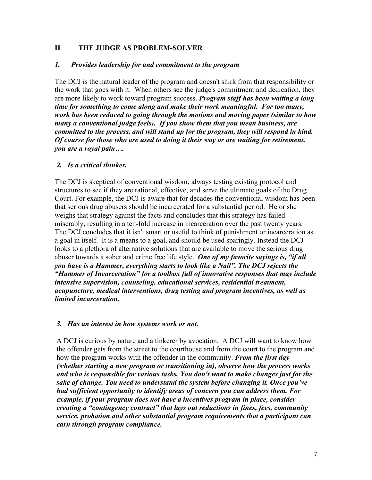# **II THE JUDGE AS PROBLEM-SOLVER**

#### *1. Provides leadership for and commitment to the program*

The DCJ is the natural leader of the program and doesn't shirk from that responsibility or the work that goes with it. When others see the judge's commitment and dedication, they are more likely to work toward program success. *Program staff has been waiting a long time for something to come along and make their work meaningful. For too many, work has been reduced to going through the motions and moving paper (similar to how many a conventional judge feels). If you show them that you mean business, are committed to the process, and will stand up for the program, they will respond in kind. Of course for those who are used to doing it their way or are waiting for retirement, you are a royal pain….*

#### *2. Is a critical thinker.*

The DCJ is skeptical of conventional wisdom; always testing existing protocol and structures to see if they are rational, effective, and serve the ultimate goals of the Drug Court. For example, the DCJ is aware that for decades the conventional wisdom has been that serious drug abusers should be incarcerated for a substantial period. He or she weighs that strategy against the facts and concludes that this strategy has failed miserably, resulting in a ten-fold increase in incarceration over the past twenty years. The DCJ concludes that it isn't smart or useful to think of punishment or incarceration as a goal in itself. It is a means to a goal, and should be used sparingly. Instead the DCJ looks to a plethora of alternative solutions that are available to move the serious drug abuser towards a sober and crime free life style. *One of my favorite sayings is, "if all you have is a Hammer, everything starts to look like a Nail". The DCJ rejects the "Hammer of Incarceration" for a toolbox full of innovative responses that may include intensive supervision, counseling, educational services, residential treatment, acupuncture, medical interventions, drug testing and program incentives, as well as limited incarceration.*

#### *3. Has an interest in how systems work or not.*

A DCJ is curious by nature and a tinkerer by avocation. A DCJ will want to know how the offender gets from the street to the courthouse and from the court to the program and how the program works with the offender in the community. *From the first day (whether starting a new program or transitioning in), observe how the process works and who is responsible for various tasks. You don't want to make changes just for the sake of change. You need to understand the system before changing it. Once you've had sufficient opportunity to identify areas of concern you can address them. For example, if your program does not have a incentives program in place, consider creating a "contingency contract" that lays out reductions in fines, fees, community service, probation and other substantial program requirements that a participant can earn through program compliance.*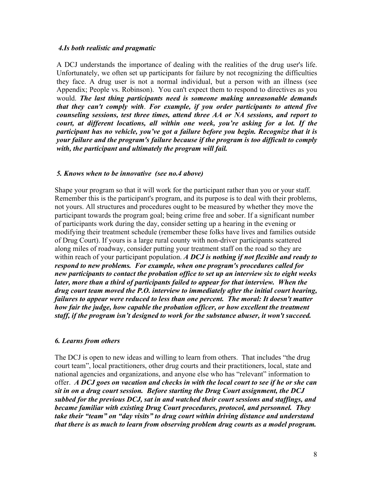#### *4.Is both realistic and pragmatic*

A DCJ understands the importance of dealing with the realities of the drug user's life. Unfortunately, we often set up participants for failure by not recognizing the difficulties they face. A drug user is not a normal individual, but a person with an illness (see Appendix; People vs. Robinson). You can't expect them to respond to directives as you would. *The last thing participants need is someone making unreasonable demands that they can't comply with*. *For example, if you order participants to attend five counseling sessions, test three times, attend three AA or NA sessions, and report to court, at different locations, all within one week, you're asking for a lot. If the participant has no vehicle, you've got a failure before you begin. Recognize that it is your failure and the program's failure because if the program is too difficult to comply with, the participant and ultimately the program will fail.*

#### *5. Knows when to be innovative (see no.4 above)*

Shape your program so that it will work for the participant rather than you or your staff. Remember this is the participant's program, and its purpose is to deal with their problems, not yours. All structures and procedures ought to be measured by whether they move the participant towards the program goal; being crime free and sober. If a significant number of participants work during the day, consider setting up a hearing in the evening or modifying their treatment schedule (remember these folks have lives and families outside of Drug Court). If yours is a large rural county with non-driver participants scattered along miles of roadway, consider putting your treatment staff on the road so they are within reach of your participant population. *A DCJ is nothing if not flexible and ready to respond to new problems. For example, when one program's procedures called for new participants to contact the probation office to set up an interview six to eight weeks later, more than a third of participants failed to appear for that interview. When the drug court team moved the P.O. interview to immediately after the initial court hearing, failures to appear were reduced to less than one percent. The moral: It doesn't matter how fair the judge, how capable the probation officer, or how excellent the treatment staff, if the program isn't designed to work for the substance abuser, it won't succeed.*

#### *6. Learns from others*

The DCJ is open to new ideas and willing to learn from others. That includes "the drug court team", local practitioners, other drug courts and their practitioners, local, state and national agencies and organizations, and anyone else who has "relevant" information to offer. *A DCJ goes on vacation and checks in with the local court to see if he or she can sit in on a drug court session. Before starting the Drug Court assignment, the DCJ subbed for the previous DCJ, sat in and watched their court sessions and staffings, and became familiar with existing Drug Court procedures, protocol, and personnel. They take their "team" on "day visits" to drug court within driving distance and understand that there is as much to learn from observing problem drug courts as a model program.*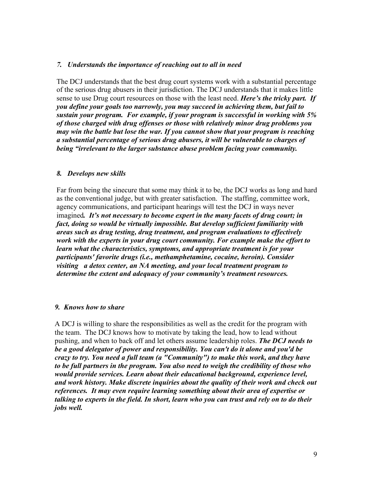### *7. Understands the importance of reaching out to all in need*

The DCJ understands that the best drug court systems work with a substantial percentage of the serious drug abusers in their jurisdiction. The DCJ understands that it makes little sense to use Drug court resources on those with the least need. *Here's the tricky part. If you define your goals too narrowly, you may succeed in achieving them, but fail to sustain your program. For example, if your program is successful in working with 5% of those charged with drug offenses or those with relatively minor drug problems you may win the battle but lose the war. If you cannot show that your program is reaching a substantial percentage of serious drug abusers, it will be vulnerable to charges of being "irrelevant to the larger substance abuse problem facing your community.*

#### *8. Develops new skills*

Far from being the sinecure that some may think it to be, the DCJ works as long and hard as the conventional judge, but with greater satisfaction. The staffing, committee work, agency communications, and participant hearings will test the DCJ in ways never imagined*. It's not necessary to become expert in the many facets of drug court; in fact, doing so would be virtually impossible. But develop sufficient familiarity with areas such as drug testing, drug treatment, and program evaluations to effectively work with the experts in your drug court community. For example make the effort to learn what the characteristics, symptoms, and appropriate treatment is for your participants' favorite drugs (i.e., methamphetamine, cocaine, heroin). Consider visiting a detox center, an NA meeting, and your local treatment program to determine the extent and adequacy of your community's treatment resources.* 

#### *9. Knows how to share*

A DCJ is willing to share the responsibilities as well as the credit for the program with the team. The DCJ knows how to motivate by taking the lead, how to lead without pushing, and when to back off and let others assume leadership roles. *The DCJ needs to be a good delegator of power and responsibility. You can't do it alone and you'd be crazy to try. You need a full team (a "Community") to make this work, and they have to be full partners in the program. You also need to weigh the credibility of those who would provide services. Learn about their educational background, experience level, and work history. Make discrete inquiries about the quality of their work and check out references. It may even require learning something about their area of expertise or talking to experts in the field. In short, learn who you can trust and rely on to do their jobs well.*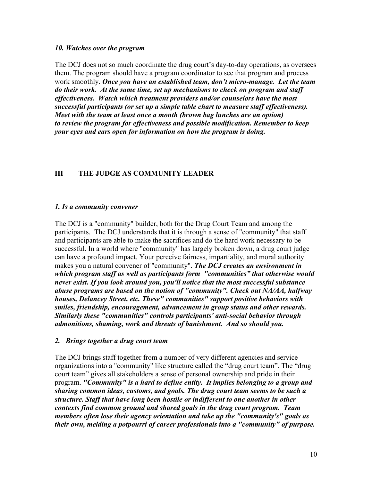#### *10. Watches over the program*

The DCJ does not so much coordinate the drug court's day-to-day operations, as oversees them. The program should have a program coordinator to see that program and process work smoothly. *Once you have an established team, don't micro-manage. Let the team do their work. At the same time, set up mechanisms to check on program and staff effectiveness. Watch which treatment providers and/or counselors have the most successful participants (or set up a simple table chart to measure staff effectiveness). Meet with the team at least once a month (brown bag lunches are an option) to review the program for effectiveness and possible modification. Remember to keep your eyes and ears open for information on how the program is doing.*

# **III THE JUDGE AS COMMUNITY LEADER**

## *1. Is a community convener*

The DCJ is a "community" builder, both for the Drug Court Team and among the participants. The DCJ understands that it is through a sense of "community" that staff and participants are able to make the sacrifices and do the hard work necessary to be successful. In a world where "community" has largely broken down, a drug court judge can have a profound impact. Your perceive fairness, impartiality, and moral authority makes you a natural convener of "community". *The DCJ creates an environment in which program staff as well as participants form "communities" that otherwise would never exist. If you look around you, you'll notice that the most successful substance abuse programs are based on the notion of "community". Check out NA/AA, halfway houses, Delancey Street, etc. These" communities" support positive behaviors with smiles, friendship, encouragement, advancement in group status and other rewards. Similarly these "communities" controls participants' anti-social behavior through admonitions, shaming, work and threats of banishment. And so should you.*

#### *2. Brings together a drug court team*

The DCJ brings staff together from a number of very different agencies and service organizations into a "community" like structure called the "drug court team". The "drug court team" gives all stakeholders a sense of personal ownership and pride in their program. *"Community" is a hard to define entity. It implies belonging to a group and sharing common ideas, customs, and goals. The drug court team seems to be such a structure. Staff that have long been hostile or indifferent to one another in other contexts find common ground and shared goals in the drug court program. Team members often lose their agency orientation and take up the "community's" goals as their own, melding a potpourri of career professionals into a "community" of purpose.*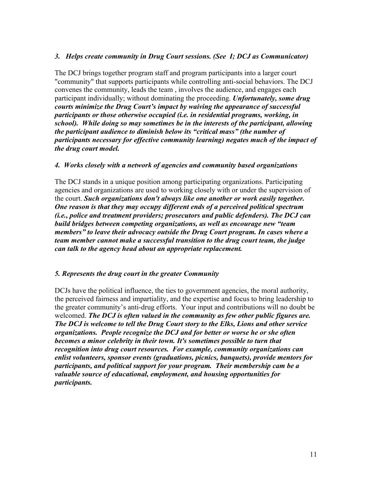# *3. Helps create community in Drug Court sessions. (See I; DCJ as Communicator)*

The DCJ brings together program staff and program participants into a larger court "community" that supports participants while controlling anti-social behaviors. The DCJ convenes the community, leads the team , involves the audience, and engages each participant individually; without dominating the proceeding. *Unfortunately, some drug courts minimize the Drug Court's impact by waiving the appearance of successful participants or those otherwise occupied (i.e. in residential programs, working, in school). While doing so may sometimes be in the interests of the participant, allowing the participant audience to diminish below its "critical mass" (the number of participants necessary for effective community learning) negates much of the impact of the drug court model.*

## *4. Works closely with a network of agencies and community based organizations*

The DCJ stands in a unique position among participating organizations. Participating agencies and organizations are used to working closely with or under the supervision of the court. *Such organizations don't always like one another or work easily together. One reason is that they may occupy different ends of a perceived political spectrum (i.e., police and treatment providers; prosecutors and public defenders). The DCJ can build bridges between competing organizations, as well as encourage new "team members" to leave their advocacy outside the Drug Court program. In cases where a team member cannot make a successful transition to the drug court team, the judge can talk to the agency head about an appropriate replacement.*

# *5. Represents the drug court in the greater Community*

DCJs have the political influence, the ties to government agencies, the moral authority, the perceived fairness and impartiality, and the expertise and focus to bring leadership to the greater community's anti-drug efforts. Your input and contributions will no doubt be welcomed. *The DCJ is often valued in the community as few other public figures are. The DCJ is welcome to tell the Drug Court story to the Elks, Lions and other service organizations. People recognize the DCJ and for better or worse he or she often becomes a minor celebrity in their town. It's sometimes possible to turn that recognition into drug court resources. For example, community organizations can enlist volunteers, sponsor events (graduations, picnics, banquets), provide mentors for participants, and political support for your program. Their membership cam be a valuable source of educational, employment, and housing opportunities for participants.*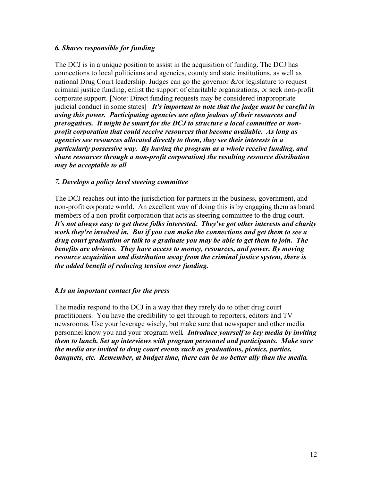## *6. Shares responsible for funding*

The DCJ is in a unique position to assist in the acquisition of funding. The DCJ has connections to local politicians and agencies, county and state institutions, as well as national Drug Court leadership. Judges can go the governor  $\&$ /or legislature to request criminal justice funding, enlist the support of charitable organizations, or seek non-profit corporate support. [Note: Direct funding requests may be considered inappropriate judicial conduct in some states] *It's important to note that the judge must be careful in using this power. Participating agencies are often jealous of their resources and prerogatives. It might be smart for the DCJ to structure a local committee or nonprofit corporation that could receive resources that become available. As long as agencies see resources allocated directly to them, they see their interests in a particularly possessive way. By having the program as a whole receive funding, and share resources through a non-profit corporation) the resulting resource distribution may be acceptable to all*

## *7. Develops a policy level steering committee*

The DCJ reaches out into the jurisdiction for partners in the business, government, and non-profit corporate world. An excellent way of doing this is by engaging them as board members of a non-profit corporation that acts as steering committee to the drug court. *It's not always easy to get these folks interested. They've got other interests and charity work they're involved in. But if you can make the connections and get them to see a drug court graduation or talk to a graduate you may be able to get them to join. The benefits are obvious. They have access to money, resources, and power. By moving resource acquisition and distribution away from the criminal justice system, there is the added benefit of reducing tension over funding.*

#### *8.Is an important contact for the press*

The media respond to the DCJ in a way that they rarely do to other drug court practitioners. You have the credibility to get through to reporters, editors and TV newsrooms. Use your leverage wisely, but make sure that newspaper and other media personnel know you and your program well*. Introduce yourself to key media by inviting them to lunch. Set up interviews with program personnel and participants. Make sure the media are invited to drug court events such as graduations, picnics, parties, banquets, etc. Remember, at budget time, there can be no better ally than the media.*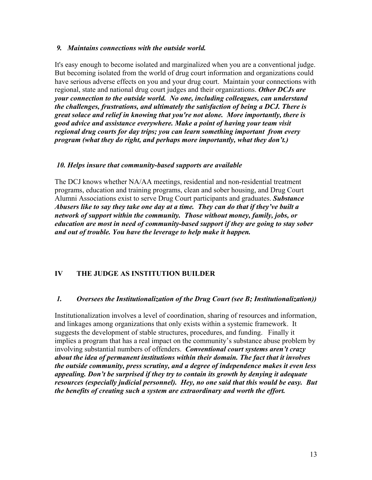### *9. Maintains connections with the outside world.*

It's easy enough to become isolated and marginalized when you are a conventional judge. But becoming isolated from the world of drug court information and organizations could have serious adverse effects on you and your drug court. Maintain your connections with regional, state and national drug court judges and their organizations. *Other DCJs are your connection to the outside world. No one, including colleagues, can understand the challenges, frustrations, and ultimately the satisfaction of being a DCJ. There is great solace and relief in knowing that you're not alone. More importantly, there is good advice and assistance everywhere. Make a point of having your team visit regional drug courts for day trips; you can learn something important from every program (what they do right, and perhaps more importantly, what they don't.)*

## *10. Helps insure that community-based supports are available*

The DCJ knows whether NA/AA meetings, residential and non-residential treatment programs, education and training programs, clean and sober housing, and Drug Court Alumni Associations exist to serve Drug Court participants and graduates. *Substance Abusers like to say they take one day at a time. They can do that if they've built a network of support within the community. Those without money, family, jobs, or education are most in need of community-based support if they are going to stay sober and out of trouble. You have the leverage to help make it happen.*

# **IV THE JUDGE AS INSTITUTION BUILDER**

# *1. Oversees the Institutionalization of the Drug Court (see B; Institutionalization))*

Institutionalization involves a level of coordination, sharing of resources and information, and linkages among organizations that only exists within a systemic framework. It suggests the development of stable structures, procedures, and funding. Finally it implies a program that has a real impact on the community's substance abuse problem by involving substantial numbers of offenders. *Conventional court systems aren't crazy about the idea of permanent institutions within their domain. The fact that it involves the outside community, press scrutiny, and a degree of independence makes it even less appealing. Don't be surprised if they try to contain its growth by denying it adequate resources (especially judicial personnel). Hey, no one said that this would be easy. But the benefits of creating such a system are extraordinary and worth the effort.*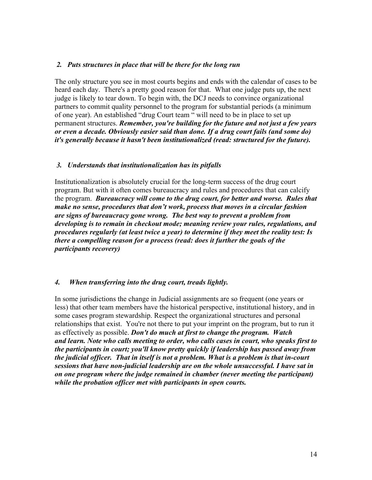## *2. Puts structures in place that will be there for the long run*

The only structure you see in most courts begins and ends with the calendar of cases to be heard each day. There's a pretty good reason for that. What one judge puts up, the next judge is likely to tear down. To begin with, the DCJ needs to convince organizational partners to commit quality personnel to the program for substantial periods (a minimum of one year). An established "drug Court team " will need to be in place to set up permanent structures. *Remember, you're building for the future and not just a few years or even a decade. Obviously easier said than done. If a drug court fails (and some do) it's generally because it hasn't been institutionalized (read: structured for the future).* 

## *3. Understands that institutionalization has its pitfalls*

Institutionalization is absolutely crucial for the long-term success of the drug court program. But with it often comes bureaucracy and rules and procedures that can calcify the program. *Bureaucracy will come to the drug court, for better and worse. Rules that make no sense, procedures that don't work, process that moves in a circular fashion are signs of bureaucracy gone wrong. The best way to prevent a problem from developing is to remain in checkout mode; meaning review your rules, regulations, and procedures regularly (at least twice a year) to determine if they meet the reality test: Is there a compelling reason for a process (read: does it further the goals of the participants recovery)* 

#### *4. When transferring into the drug court, treads lightly.*

In some jurisdictions the change in Judicial assignments are so frequent (one years or less) that other team members have the historical perspective, institutional history, and in some cases program stewardship. Respect the organizational structures and personal relationships that exist. You're not there to put your imprint on the program, but to run it as effectively as possible. *Don't do much at first to change the program. Watch and learn. Note who calls meeting to order, who calls cases in court, who speaks first to the participants in court; you'll know pretty quickly if leadership has passed away from the judicial officer. That in itself is not a problem. What is a problem is that in-court sessions that have non-judicial leadership are on the whole unsuccessful. I have sat in on one program where the judge remained in chamber (never meeting the participant) while the probation officer met with participants in open courts.*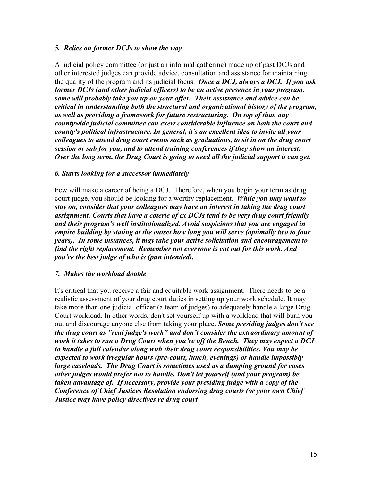## *5. Relies on former DCJs to show the way*

A judicial policy committee (or just an informal gathering) made up of past DCJs and other interested judges can provide advice, consultation and assistance for maintaining the quality of the program and its judicial focus. *Once a DCJ, always a DCJ. If you ask former DCJs (and other judicial officers) to be an active presence in your program, some will probably take you up on your offer. Their assistance and advice can be critical in understanding both the structural and organizational history of the program, as well as providing a framework for future restructuring. On top of that, any countywide judicial committee can exert considerable influence on both the court and county's political infrastructure. In general, it's an excellent idea to invite all your colleagues to attend drug court events such as graduations, to sit in on the drug court session or sub for you, and to attend training conferences if they show an interest. Over the long term, the Drug Court is going to need all the judicial support it can get.*

## *6. Starts looking for a successor immediately*

Few will make a career of being a DCJ. Therefore, when you begin your term as drug court judge, you should be looking for a worthy replacement. *While you may want to stay on, consider that your colleagues may have an interest in taking the drug court assignment. Courts that have a coterie of ex DCJs tend to be very drug court friendly and their program's well institutionalized. Avoid suspicions that you are engaged in empire building by stating at the outset how long you will serve (optimally two to four years). In some instances, it may take your active solicitation and encouragement to find the right replacement. Remember not everyone is cut out for this work. And you're the best judge of who is (pun intended).*

# *7. Makes the workload doable*

It's critical that you receive a fair and equitable work assignment. There needs to be a realistic assessment of your drug court duties in setting up your work schedule. It may take more than one judicial officer (a team of judges) to adequately handle a large Drug Court workload. In other words, don't set yourself up with a workload that will burn you out and discourage anyone else from taking your place. *Some presiding judges don't see the drug court as "real judge's work" and don't consider the extraordinary amount of work it takes to run a Drug Court when you're off the Bench. They may expect a DCJ to handle a full calendar along with their drug court responsibilities. You may be expected to work irregular hours (pre-court, lunch, evenings) or handle impossibly large caseloads. The Drug Court is sometimes used as a dumping ground for cases other judges would prefer not to handle. Don't let yourself (and your program) be taken advantage of. If necessary, provide your presiding judge with a copy of the Conference of Chief Justices Resolution endorsing drug courts (or your own Chief Justice may have policy directives re drug court*